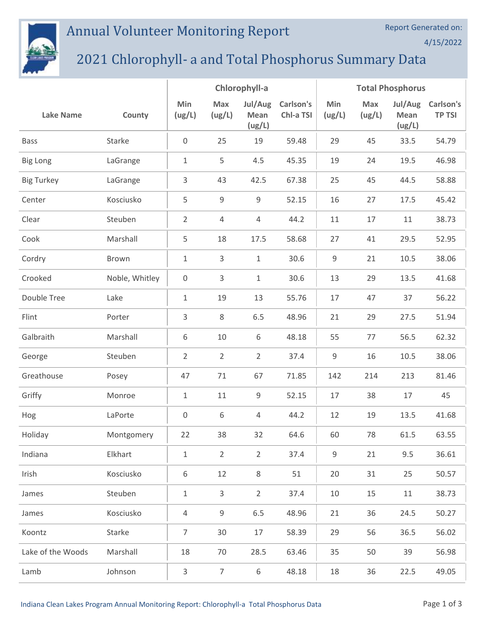## Annual Volunteer Monitoring Report



## 2021 Chlorophyll- a and Total Phosphorus Summary Data

|                   |                | Chlorophyll-a       |                |                           | <b>Total Phosphorus</b> |               |               |                                  |                            |
|-------------------|----------------|---------------------|----------------|---------------------------|-------------------------|---------------|---------------|----------------------------------|----------------------------|
| <b>Lake Name</b>  | County         | Min<br>(ug/L)       | Max<br>(ug/L)  | Jul/Aug<br>Mean<br>(ug/L) | Carlson's<br>Chl-a TSI  | Min<br>(ug/L) | Max<br>(ug/L) | Jul/Aug<br><b>Mean</b><br>(ug/L) | Carlson's<br><b>TP TSI</b> |
| <b>Bass</b>       | Starke         | $\boldsymbol{0}$    | 25             | 19                        | 59.48                   | 29            | 45            | 33.5                             | 54.79                      |
| <b>Big Long</b>   | LaGrange       | $\mathbf 1$         | 5              | 4.5                       | 45.35                   | 19            | 24            | 19.5                             | 46.98                      |
| <b>Big Turkey</b> | LaGrange       | 3                   | 43             | 42.5                      | 67.38                   | 25            | 45            | 44.5                             | 58.88                      |
| Center            | Kosciusko      | 5                   | 9              | 9                         | 52.15                   | 16            | 27            | 17.5                             | 45.42                      |
| Clear             | Steuben        | $\overline{2}$      | $\overline{4}$ | $\overline{4}$            | 44.2                    | 11            | 17            | 11                               | 38.73                      |
| Cook              | Marshall       | 5                   | 18             | 17.5                      | 58.68                   | 27            | 41            | 29.5                             | 52.95                      |
| Cordry            | Brown          | $\mathbf 1$         | 3              | 1                         | 30.6                    | 9             | 21            | 10.5                             | 38.06                      |
| Crooked           | Noble, Whitley | $\mathsf{O}\xspace$ | 3              | $\mathbf{1}$              | 30.6                    | 13            | 29            | 13.5                             | 41.68                      |
| Double Tree       | Lake           | $\mathbf{1}$        | 19             | 13                        | 55.76                   | 17            | 47            | 37                               | 56.22                      |
| Flint             | Porter         | 3                   | 8              | 6.5                       | 48.96                   | 21            | 29            | 27.5                             | 51.94                      |
| Galbraith         | Marshall       | 6                   | 10             | 6                         | 48.18                   | 55            | 77            | 56.5                             | 62.32                      |
| George            | Steuben        | $\overline{2}$      | $\overline{2}$ | $\overline{2}$            | 37.4                    | $\mathsf 9$   | 16            | 10.5                             | 38.06                      |
| Greathouse        | Posey          | 47                  | 71             | 67                        | 71.85                   | 142           | 214           | 213                              | 81.46                      |
| Griffy            | Monroe         | $\mathbf 1$         | 11             | $\mathsf 9$               | 52.15                   | 17            | 38            | 17                               | 45                         |
| Hog               | LaPorte        | 0                   | 6              | 4                         | 44.2                    | 12            | 19            | 13.5                             | 41.68                      |
| Holiday           | Montgomery     | 22                  | 38             | 32                        | 64.6                    | 60            | 78            | 61.5                             | 63.55                      |
| Indiana           | Elkhart        | $\mathbf{1}$        | $\overline{2}$ | $\overline{2}$            | 37.4                    | 9             | 21            | 9.5                              | 36.61                      |
| Irish             | Kosciusko      | 6                   | 12             | 8                         | 51                      | 20            | 31            | 25                               | 50.57                      |
| James             | Steuben        | $\mathbf{1}$        | $\mathsf{3}$   | $\overline{2}$            | 37.4                    | 10            | 15            | 11                               | 38.73                      |
| James             | Kosciusko      | $\overline{4}$      | 9              | 6.5                       | 48.96                   | 21            | 36            | 24.5                             | 50.27                      |
| Koontz            | Starke         | $\overline{7}$      | 30             | 17                        | 58.39                   | 29            | 56            | 36.5                             | 56.02                      |
| Lake of the Woods | Marshall       | 18                  | 70             | 28.5                      | 63.46                   | 35            | 50            | 39                               | 56.98                      |
| Lamb              | Johnson        | 3                   | $\overline{7}$ | 6                         | 48.18                   | 18            | 36            | 22.5                             | 49.05                      |

Report Generated on:

4/15/2022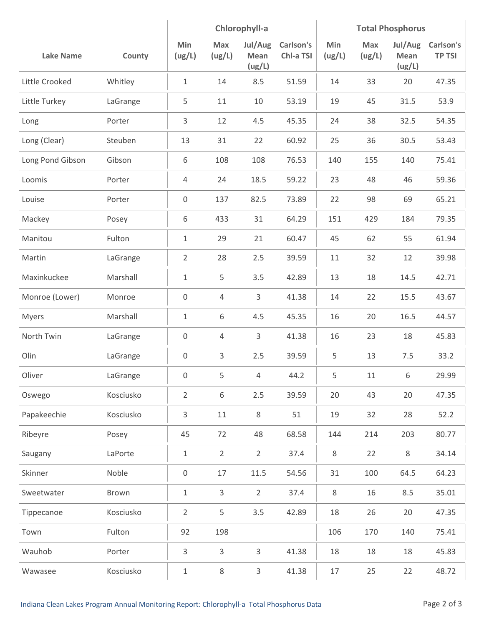|                  |           | Chlorophyll-a    |                |                           | <b>Total Phosphorus</b> |               |               |                           |                            |
|------------------|-----------|------------------|----------------|---------------------------|-------------------------|---------------|---------------|---------------------------|----------------------------|
| <b>Lake Name</b> | County    | Min<br>(ug/L)    | Max<br>(ug/L)  | Jul/Aug<br>Mean<br>(ug/L) | Carlson's<br>Chl-a TSI  | Min<br>(ug/L) | Max<br>(ug/L) | Jul/Aug<br>Mean<br>(ug/L) | Carlson's<br><b>TP TSI</b> |
| Little Crooked   | Whitley   | $\mathbf{1}$     | 14             | 8.5                       | 51.59                   | 14            | 33            | 20                        | 47.35                      |
| Little Turkey    | LaGrange  | 5                | 11             | 10                        | 53.19                   | 19            | 45            | 31.5                      | 53.9                       |
| Long             | Porter    | 3                | 12             | 4.5                       | 45.35                   | 24            | 38            | 32.5                      | 54.35                      |
| Long (Clear)     | Steuben   | 13               | 31             | 22                        | 60.92                   | 25            | 36            | 30.5                      | 53.43                      |
| Long Pond Gibson | Gibson    | 6                | 108            | 108                       | 76.53                   | 140           | 155           | 140                       | 75.41                      |
| Loomis           | Porter    | 4                | 24             | 18.5                      | 59.22                   | 23            | 48            | 46                        | 59.36                      |
| Louise           | Porter    | $\mathsf 0$      | 137            | 82.5                      | 73.89                   | 22            | 98            | 69                        | 65.21                      |
| Mackey           | Posey     | $\,$ 6 $\,$      | 433            | 31                        | 64.29                   | 151           | 429           | 184                       | 79.35                      |
| Manitou          | Fulton    | $\mathbf{1}$     | 29             | 21                        | 60.47                   | 45            | 62            | 55                        | 61.94                      |
| Martin           | LaGrange  | $\overline{2}$   | 28             | 2.5                       | 39.59                   | 11            | 32            | 12                        | 39.98                      |
| Maxinkuckee      | Marshall  | $\mathbf{1}$     | 5              | 3.5                       | 42.89                   | 13            | 18            | 14.5                      | 42.71                      |
| Monroe (Lower)   | Monroe    | $\mathsf 0$      | $\overline{4}$ | 3                         | 41.38                   | 14            | 22            | 15.5                      | 43.67                      |
| <b>Myers</b>     | Marshall  | $\mathbf{1}$     | 6              | 4.5                       | 45.35                   | 16            | 20            | 16.5                      | 44.57                      |
| North Twin       | LaGrange  | $\mathsf 0$      | 4              | 3                         | 41.38                   | 16            | 23            | 18                        | 45.83                      |
| Olin             | LaGrange  | $\mathsf 0$      | 3              | 2.5                       | 39.59                   | 5             | 13            | 7.5                       | 33.2                       |
| Oliver           | LaGrange  | $\boldsymbol{0}$ | 5              | 4                         | 44.2                    | 5             | $11\,$        | 6                         | 29.99                      |
| Oswego           | Kosciusko | $\overline{2}$   | 6              | 2.5                       | 39.59                   | 20            | 43            | 20                        | 47.35                      |
| Papakeechie      | Kosciusko | 3                | $11\,$         | 8                         | 51                      | 19            | 32            | 28                        | 52.2                       |
| Ribeyre          | Posey     | 45               | 72             | 48                        | 68.58                   | 144           | 214           | 203                       | 80.77                      |
| Saugany          | LaPorte   | $\mathbf{1}$     | $\overline{2}$ | $\overline{2}$            | 37.4                    | $\,8\,$       | 22            | $\,8\,$                   | 34.14                      |
| Skinner          | Noble     | $\boldsymbol{0}$ | 17             | 11.5                      | 54.56                   | 31            | 100           | 64.5                      | 64.23                      |
| Sweetwater       | Brown     | $\mathbf{1}$     | 3              | $\overline{2}$            | 37.4                    | $\,8\,$       | 16            | 8.5                       | 35.01                      |
| Tippecanoe       | Kosciusko | $\overline{2}$   | 5              | 3.5                       | 42.89                   | 18            | 26            | 20                        | 47.35                      |
| Town             | Fulton    | 92               | 198            |                           |                         | 106           | 170           | 140                       | 75.41                      |
| Wauhob           | Porter    | $\mathsf{3}$     | 3              | 3                         | 41.38                   | 18            | 18            | 18                        | 45.83                      |
| Wawasee          | Kosciusko | $1\,$            | 8              | $\mathsf{3}$              | 41.38                   | 17            | 25            | 22                        | 48.72                      |